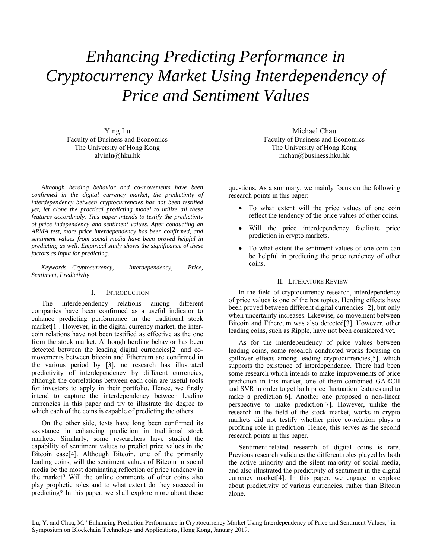# *Enhancing Predicting Performance in Cryptocurrency Market Using Interdependency of Price and Sentiment Values*

Ying Lu Faculty of Business and Economics The University of Hong Kong alvinlu@hku.hk

*Although herding behavior and co-movements have been confirmed in the digital currency market, the predictivity of interdependency between cryptocurrencies has not been testified yet, let alone the practical predicting model to utilize all these features accordingly. This paper intends to testify the predictivity of price independency and sentiment values. After conducting an ARMA test, more price interdependency has been confirmed, and sentiment values from social media have been proved helpful in predicting as well. Empirical study shows the significance of these factors as input for predicting.* 

*Keywords—Cryptocurrency, Interdependency, Price, Sentiment, Predictivity* 

## I. INTRODUCTION

The interdependency relations among different companies have been confirmed as a useful indicator to enhance predicting performance in the traditional stock market<sup>[1]</sup>. However, in the digital currency market, the intercoin relations have not been testified as effective as the one from the stock market. Although herding behavior has been detected between the leading digital currencies[2] and comovements between bitcoin and Ethereum are confirmed in the various period by [3], no research has illustrated predictivity of interdependency by different currencies, although the correlations between each coin are useful tools for investors to apply in their portfolio. Hence, we firstly intend to capture the interdependency between leading currencies in this paper and try to illustrate the degree to which each of the coins is capable of predicting the others.

On the other side, texts have long been confirmed its assistance in enhancing prediction in traditional stock markets. Similarly, some researchers have studied the capability of sentiment values to predict price values in the Bitcoin case[4]. Although Bitcoin, one of the primarily leading coins, will the sentiment values of Bitcoin in social media be the most dominating reflection of price tendency in the market? Will the online comments of other coins also play prophetic roles and to what extent do they succeed in predicting? In this paper, we shall explore more about these

Michael Chau Faculty of Business and Economics The University of Hong Kong mchau@business.hku.hk

questions. As a summary, we mainly focus on the following research points in this paper:

- To what extent will the price values of one coin reflect the tendency of the price values of other coins.
- Will the price interdependency facilitate price prediction in crypto markets.
- To what extent the sentiment values of one coin can be helpful in predicting the price tendency of other coins.

#### II. LITERATURE REVIEW

In the field of cryptocurrency research, interdependency of price values is one of the hot topics. Herding effects have been proved between different digital currencies [2], but only when uncertainty increases. Likewise, co-movement between Bitcoin and Ethereum was also detected[3]. However, other leading coins, such as Ripple, have not been considered yet.

As for the interdependency of price values between leading coins, some research conducted works focusing on spillover effects among leading cryptocurrencies[5], which supports the existence of interdependence. There had been some research which intends to make improvements of price prediction in this market, one of them combined GARCH and SVR in order to get both price fluctuation features and to make a prediction[6]. Another one proposed a non-linear perspective to make prediction[7]. However, unlike the research in the field of the stock market, works in crypto markets did not testify whether price co-relation plays a profiting role in prediction. Hence, this serves as the second research points in this paper.

Sentiment-related research of digital coins is rare. Previous research validates the different roles played by both the active minority and the silent majority of social media, and also illustrated the predictivity of sentiment in the digital currency market[4]. In this paper, we engage to explore about predictivity of various currencies, rather than Bitcoin alone.

Lu, Y. and Chau, M. "Enhancing Prediction Performance in Cryptocurrency Market Using Interdependency of Price and Sentiment Values," in Symposium on Blockchain Technology and Applications, Hong Kong, January 2019.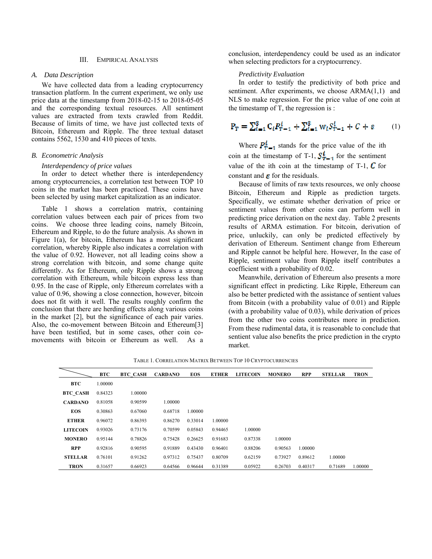## III. EMPIRICAL ANALYSIS

## *A. Data Description*

We have collected data from a leading cryptocurrency transaction platform. In the current experiment, we only use price data at the timestamp from 2018-02-15 to 2018-05-05 and the corresponding textual resources. All sentiment values are extracted from texts crawled from Reddit. Because of limits of time, we have just collected texts of Bitcoin, Ethereum and Ripple. The three textual dataset contains 5562, 1530 and 410 pieces of texts.

#### *B. Econometric Analysis*

## *Interdependency of price values*

In order to detect whether there is interdependency among cryptocurrencies, a correlation test between TOP 10 coins in the market has been practiced. These coins have been selected by using market capitalization as an indicator.

Table 1 shows a correlation matrix, containing correlation values between each pair of prices from two coins. We choose three leading coins, namely Bitcoin, Ethereum and Ripple, to do the future analysis. As shown in Figure 1(a), for bitcoin, Ethereum has a most significant correlation, whereby Ripple also indicates a correlation with the value of 0.92. However, not all leading coins show a strong correlation with bitcoin, and some change quite differently. As for Ethereum, only Ripple shows a strong correlation with Ethereum, while bitcoin express less than 0.95. In the case of Ripple, only Ethereum correlates with a value of 0.96, showing a close connection, however, bitcoin does not fit with it well. The results roughly confirm the conclusion that there are herding effects along various coins in the market [2], but the significance of each pair varies. Also, the co-movement between Bitcoin and Ethereum[3] have been testified, but in some cases, other coin comovements with bitcoin or Ethereum as well. As a

conclusion, interdependency could be used as an indicator when selecting predictors for a cryptocurrency.

## *Predictivity Evaluation*

In order to testify the predictivity of both price and sentiment. After experiments, we choose ARMA(1,1) and NLS to make regression. For the price value of one coin at the timestamp of T, the regression is :

$$
P_T = \sum_{t=1}^{3} C_t P_{T-1}^t + \sum_{t=1}^{3} w_t S_{T-1}^t + C + \varepsilon \tag{1}
$$

Where  $P_{T-1}^t$  stands for the price value of the ith coin at the timestamp of T-1,  $S_{T-1}^t$  for the sentiment value of the ith coin at the timestamp of T-1,  $\boldsymbol{C}$  for constant and  $\epsilon$  for the residuals.

Because of limits of raw texts resources, we only choose Bitcoin, Ethereum and Ripple as prediction targets. Specifically, we estimate whether derivation of price or sentiment values from other coins can perform well in predicting price derivation on the next day. Table 2 presents results of ARMA estimation. For bitcoin, derivation of price, unluckily, can only be predicted effectively by derivation of Ethereum. Sentiment change from Ethereum and Ripple cannot be helpful here. However, In the case of Ripple, sentiment value from Ripple itself contributes a coefficient with a probability of 0.02.

Meanwhile, derivation of Ethereum also presents a more significant effect in predicting. Like Ripple, Ethereum can also be better predicted with the assistance of sentient values from Bitcoin (with a probability value of 0.01) and Ripple (with a probability value of 0.03), while derivation of prices from the other two coins contributes more in prediction. From these rudimental data, it is reasonable to conclude that sentient value also benefits the price prediction in the crypto market.

TABLE 1. CORRELATION MATRIX BETWEEN TOP 10 CRYPTOCURRENCIES

| $\overline{\phantom{0}}$ | <b>BTC</b> | <b>BTC CASH</b> | <b>CARDANO</b> | <b>EOS</b> | <b>ETHER</b> | <b>LITECOIN</b> | <b>MONERO</b> | <b>RPP</b> | <b>STELLAR</b> | <b>TRON</b> |
|--------------------------|------------|-----------------|----------------|------------|--------------|-----------------|---------------|------------|----------------|-------------|
| <b>BTC</b>               | 1.00000    |                 |                |            |              |                 |               |            |                |             |
| <b>BTC CASH</b>          | 0.84323    | 1.00000         |                |            |              |                 |               |            |                |             |
| <b>CARDANO</b>           | 0.81058    | 0.90599         | 1.00000        |            |              |                 |               |            |                |             |
| <b>EOS</b>               | 0.30863    | 0.67060         | 0.68718        | 1.00000    |              |                 |               |            |                |             |
| <b>ETHER</b>             | 0.96072    | 0.86393         | 0.86270        | 0.33014    | 1.00000      |                 |               |            |                |             |
| <b>LITECOIN</b>          | 0.93026    | 0.73176         | 0.70599        | 0.05843    | 0.94465      | 1.00000         |               |            |                |             |
| <b>MONERO</b>            | 0.95144    | 0.78826         | 0.75428        | 0.26625    | 0.91683      | 0.87338         | 1.00000       |            |                |             |
| <b>RPP</b>               | 0.92816    | 0.90595         | 0.91889        | 0.43430    | 0.96401      | 0.88206         | 0.90563       | 1.00000    |                |             |
| <b>STELLAR</b>           | 0.76101    | 0.91262         | 0.97312        | 0.75437    | 0.80709      | 0.62159         | 0.73927       | 0.89612    | 1.00000        |             |
| <b>TRON</b>              | 0.31657    | 0.66923         | 0.64566        | 0.96644    | 0.31389      | 0.05922         | 0.26703       | 0.40317    | 0.71689        | 1.00000     |